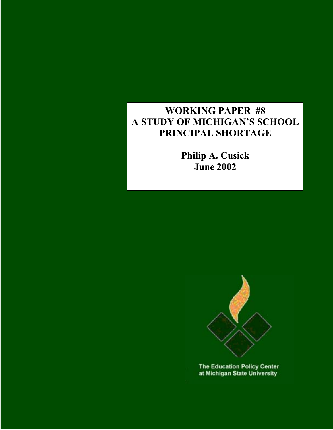# **WORKING PAPER #8 A STUDY OF MICHIGAN'S SCHOOL PRINCIPAL SHORTAGE**

**Philip A. Cusick June 2002** 



**The Education Policy Center** at Michigan State University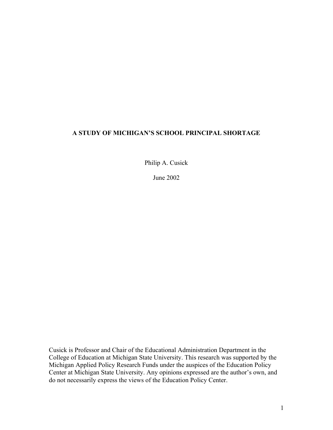## **A STUDY OF MICHIGAN'S SCHOOL PRINCIPAL SHORTAGE**

Philip A. Cusick

June 2002

Cusick is Professor and Chair of the Educational Administration Department in the College of Education at Michigan State University. This research was supported by the Michigan Applied Policy Research Funds under the auspices of the Education Policy Center at Michigan State University. Any opinions expressed are the author's own, and do not necessarily express the views of the Education Policy Center.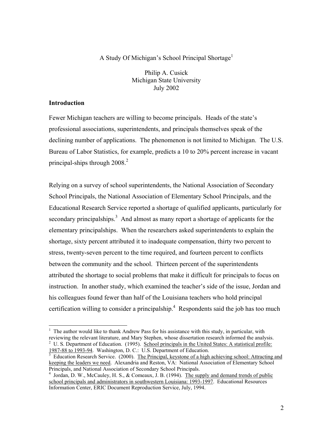## A Study Of Michigan's School Principal Shortage<sup>[1](#page-2-0)</sup>

Philip A. Cusick Michigan State University July 2002

### **Introduction**

<u>.</u>

Fewer Michigan teachers are willing to become principals. Heads of the state's professional associations, superintendents, and principals themselves speak of the declining number of applications. The phenomenon is not limited to Michigan. The U.S. Bureau of Labor Statistics, for example, predicts a 10 to 20% percent increase in vacant principal-ships through  $2008.<sup>2</sup>$  $2008.<sup>2</sup>$ 

Relying on a survey of school superintendents, the National Association of Secondary School Principals, the National Association of Elementary School Principals, and the Educational Research Service reported a shortage of qualified applicants, particularly for secondary principalships.<sup>3</sup> And almost as many report a shortage of applicants for the elementary principalships. When the researchers asked superintendents to explain the shortage, sixty percent attributed it to inadequate compensation, thirty two percent to stress, twenty-seven percent to the time required, and fourteen percent to conflicts between the community and the school. Thirteen percent of the superintendents attributed the shortage to social problems that make it difficult for principals to focus on instruction. In another study, which examined the teacher's side of the issue, Jordan and his colleagues found fewer than half of the Louisiana teachers who hold principal certification willing to consider a principalship. $4$  Respondents said the job has too much

<span id="page-2-1"></span><span id="page-2-0"></span> $<sup>1</sup>$  The author would like to thank Andrew Pass for his assistance with this study, in particular, with</sup> reviewing the relevant literature, and Mary Stephen, whose dissertation research informed the analysis. 2  $^{2}$  U. S. Department of Education. (1995). School principals in the United States: A statistical profile: 1987-88 to 1993-94. Washington, D. C.: U.S. Department of Education.

<span id="page-2-2"></span>Education Research Service. (2000). The Principal, keystone of a high achieving school: Attracting and keeping the leaders we need. Alexandria and Reston, VA: National Association of Elementary School Principals, and National Association of Secondary School Principals.<br> $^{4}$  Jordan D. W. McCauley H. S. & Comeaux J. B. (1994). The surf

<span id="page-2-3"></span>Jordan, D. W., McCauley, H. S., & Comeaux, J. B. (1994). The supply and demand trends of public school principals and administrators in southwestern Louisiana: 1993-1997. Educational Resources Information Center, ERIC Document Reproduction Service, July, 1994.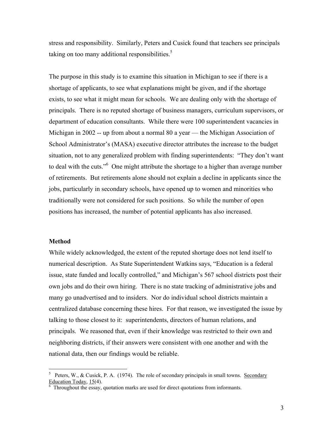stress and responsibility. Similarly, Peters and Cusick found that teachers see principals taking on too many additional responsibilities.<sup>[5](#page-3-0)</sup>

The purpose in this study is to examine this situation in Michigan to see if there is a shortage of applicants, to see what explanations might be given, and if the shortage exists, to see what it might mean for schools. We are dealing only with the shortage of principals. There is no reputed shortage of business managers, curriculum supervisors, or department of education consultants. While there were 100 superintendent vacancies in Michigan in 2002 -- up from about a normal 80 a year — the Michigan Association of School Administrator's (MASA) executive director attributes the increase to the budget situation, not to any generalized problem with finding superintendents: "They don't want to deal with the cuts."<sup>[6](#page-3-1)</sup> One might attribute the shortage to a higher than average number of retirements. But retirements alone should not explain a decline in applicants since the jobs, particularly in secondary schools, have opened up to women and minorities who traditionally were not considered for such positions. So while the number of open positions has increased, the number of potential applicants has also increased.

#### **Method**

1

While widely acknowledged, the extent of the reputed shortage does not lend itself to numerical description. As State Superintendent Watkins says, "Education is a federal issue, state funded and locally controlled," and Michigan's 567 school districts post their own jobs and do their own hiring. There is no state tracking of administrative jobs and many go unadvertised and to insiders. Nor do individual school districts maintain a centralized database concerning these hires. For that reason, we investigated the issue by talking to those closest to it: superintendents, directors of human relations, and principals. We reasoned that, even if their knowledge was restricted to their own and neighboring districts, if their answers were consistent with one another and with the national data, then our findings would be reliable.

<span id="page-3-0"></span><sup>&</sup>lt;sup>5</sup> Peters, W., & Cusick, P. A. (1974). The role of secondary principals in small towns. <u>Secondary</u> Education Today, 15(4).

<span id="page-3-1"></span>Throughout the essay, quotation marks are used for direct quotations from informants.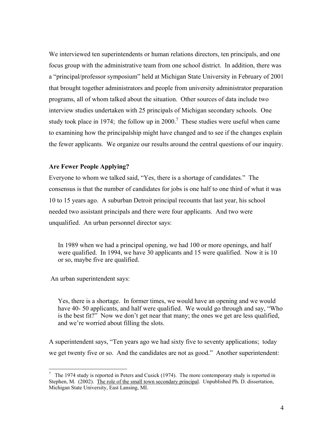We interviewed ten superintendents or human relations directors, ten principals, and one focus group with the administrative team from one school district. In addition, there was a "principal/professor symposium" held at Michigan State University in February of 2001 that brought together administrators and people from university administrator preparation programs, all of whom talked about the situation. Other sources of data include two interview studies undertaken with 25 principals of Michigan secondary schools. One studytook place in 1974; the follow up in 2000.<sup>7</sup> These studies were useful when came to examining how the principalship might have changed and to see if the changes explain the fewer applicants. We organize our results around the central questions of our inquiry.

### **Are Fewer People Applying?**

Everyone to whom we talked said, "Yes, there is a shortage of candidates." The consensus is that the number of candidates for jobs is one half to one third of what it was 10 to 15 years ago. A suburban Detroit principal recounts that last year, his school needed two assistant principals and there were four applicants. And two were unqualified. An urban personnel director says:

In 1989 when we had a principal opening, we had 100 or more openings, and half were qualified. In 1994, we have 30 applicants and 15 were qualified. Now it is 10 or so, maybe five are qualified.

An urban superintendent says:

1

Yes, there is a shortage. In former times, we would have an opening and we would have 40- 50 applicants, and half were qualified. We would go through and say, "Who is the best fit?" Now we don't get near that many; the ones we get are less qualified, and we're worried about filling the slots.

A superintendent says, "Ten years ago we had sixty five to seventy applications; today we get twenty five or so. And the candidates are not as good." Another superintendent:

<span id="page-4-0"></span> $7$  The 1974 study is reported in Peters and Cusick (1974). The more contemporary study is reported in Stephen, M. (2002). The role of the small town secondary principal. Unpublished Ph. D. dissertation, Michigan State University, East Lansing, MI.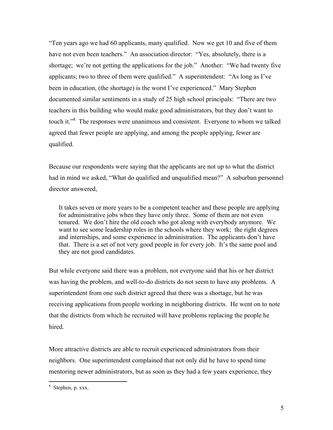"Ten years ago we had 60 applicants, many qualified. Now we get 10 and five of them have not even been teachers." An association director: "Yes, absolutely, there is a shortage; we're not getting the applications for the job." Another: "We had twenty five applicants; two to three of them were qualified." A superintendent: "As long as I've been in education, (the shortage) is the worst I've experienced." Mary Stephen documented similar sentiments in a study of 25 high school principals: "There are two teachers in this building who would make good administrators, but they don't want to touchit."<sup>8</sup> The responses were unanimous and consistent. Everyone to whom we talked agreed that fewer people are applying, and among the people applying, fewer are qualified.

Because our respondents were saying that the applicants are not up to what the district had in mind we asked, "What do qualified and unqualified mean?" A suburban personnel director answered,

It takes seven or more years to be a competent teacher and these people are applying for administrative jobs when they have only three. Some of them are not even tenured. We don't hire the old coach who got along with everybody anymore. We want to see some leadership roles in the schools where they work; the right degrees and internships, and some experience in administration. The applicants don't have that. There is a set of not very good people in for every job. It's the same pool and they are not good candidates.

But while everyone said there was a problem, not everyone said that his or her district was having the problem, and well-to-do districts do not seem to have any problems. A superintendent from one such district agreed that there was a shortage, but he was receiving applications from people working in neighboring districts. He went on to note that the districts from which he recruited will have problems replacing the people he hired.

More attractive districts are able to recruit experienced administrators from their neighbors. One superintendent complained that not only did he have to spend time mentoring newer administrators, but as soon as they had a few years experience, they

<span id="page-5-0"></span><sup>8</sup> Stephen, p. xxx.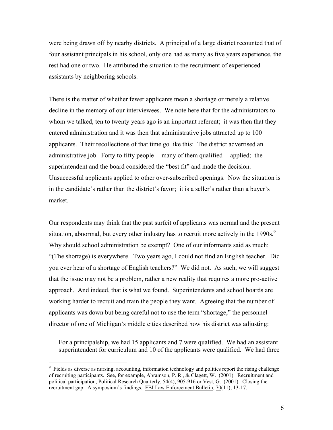were being drawn off by nearby districts. A principal of a large district recounted that of four assistant principals in his school, only one had as many as five years experience, the rest had one or two. He attributed the situation to the recruitment of experienced assistants by neighboring schools.

There is the matter of whether fewer applicants mean a shortage or merely a relative decline in the memory of our interviewees. We note here that for the administrators to whom we talked, ten to twenty years ago is an important referent; it was then that they entered administration and it was then that administrative jobs attracted up to 100 applicants. Their recollections of that time go like this: The district advertised an administrative job. Forty to fifty people -- many of them qualified -- applied; the superintendent and the board considered the "best fit" and made the decision. Unsuccessful applicants applied to other over-subscribed openings. Now the situation is in the candidate's rather than the district's favor; it is a seller's rather than a buyer's market.

Our respondents may think that the past surfeit of applicants was normal and the present situation, abnormal, but every other industry has to recruit more actively in the  $1990s$  $1990s$  $1990s$ .<sup>9</sup> Why should school administration be exempt? One of our informants said as much: "(The shortage) is everywhere. Two years ago, I could not find an English teacher. Did you ever hear of a shortage of English teachers?" We did not. As such, we will suggest that the issue may not be a problem, rather a new reality that requires a more pro-active approach. And indeed, that is what we found. Superintendents and school boards are working harder to recruit and train the people they want. Agreeing that the number of applicants was down but being careful not to use the term "shortage," the personnel director of one of Michigan's middle cities described how his district was adjusting:

For a principalship, we had 15 applicants and 7 were qualified. We had an assistant superintendent for curriculum and 10 of the applicants were qualified. We had three

<span id="page-6-0"></span><sup>&</sup>lt;sup>9</sup> Fields as diverse as nursing, accounting, information technology and politics report the rising challenge of recruiting participants. See, for example, Abramson, P. R., & Clagett, W. (2001). Recruitment and political participation, Political Research Quarterly, 54(4), 905-916 or Vest, G. (2001). Closing the recruitment gap: A symposium's findings. FBI Law Enforcement Bulletin, 70(11), 13-17.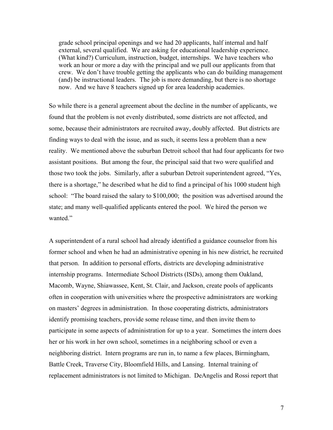grade school principal openings and we had 20 applicants, half internal and half external, several qualified. We are asking for educational leadership experience. (What kind?) Curriculum, instruction, budget, internships. We have teachers who work an hour or more a day with the principal and we pull our applicants from that crew. We don't have trouble getting the applicants who can do building management (and) be instructional leaders. The job is more demanding, but there is no shortage now. And we have 8 teachers signed up for area leadership academies.

So while there is a general agreement about the decline in the number of applicants, we found that the problem is not evenly distributed, some districts are not affected, and some, because their administrators are recruited away, doubly affected. But districts are finding ways to deal with the issue, and as such, it seems less a problem than a new reality. We mentioned above the suburban Detroit school that had four applicants for two assistant positions. But among the four, the principal said that two were qualified and those two took the jobs. Similarly, after a suburban Detroit superintendent agreed, "Yes, there is a shortage," he described what he did to find a principal of his 1000 student high school: "The board raised the salary to \$100,000; the position was advertised around the state; and many well-qualified applicants entered the pool. We hired the person we wanted."

A superintendent of a rural school had already identified a guidance counselor from his former school and when he had an administrative opening in his new district, he recruited that person. In addition to personal efforts, districts are developing administrative internship programs. Intermediate School Districts (ISDs), among them Oakland, Macomb, Wayne, Shiawassee, Kent, St. Clair, and Jackson, create pools of applicants often in cooperation with universities where the prospective administrators are working on masters' degrees in administration. In those cooperating districts, administrators identify promising teachers, provide some release time, and then invite them to participate in some aspects of administration for up to a year. Sometimes the intern does her or his work in her own school, sometimes in a neighboring school or even a neighboring district. Intern programs are run in, to name a few places, Birmingham, Battle Creek, Traverse City, Bloomfield Hills, and Lansing. Internal training of replacement administrators is not limited to Michigan. DeAngelis and Rossi report that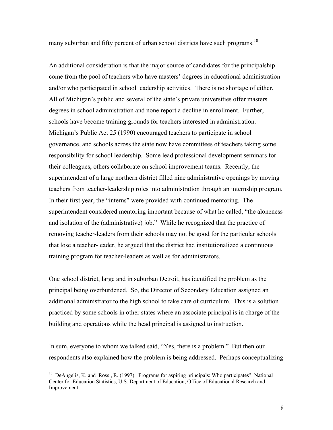many suburban and fifty percent of urban school districts have such programs.<sup>10</sup>

An additional consideration is that the major source of candidates for the principalship come from the pool of teachers who have masters' degrees in educational administration and/or who participated in school leadership activities. There is no shortage of either. All of Michigan's public and several of the state's private universities offer masters degrees in school administration and none report a decline in enrollment. Further, schools have become training grounds for teachers interested in administration. Michigan's Public Act 25 (1990) encouraged teachers to participate in school governance, and schools across the state now have committees of teachers taking some responsibility for school leadership. Some lead professional development seminars for their colleagues, others collaborate on school improvement teams. Recently, the superintendent of a large northern district filled nine administrative openings by moving teachers from teacher-leadership roles into administration through an internship program. In their first year, the "interns" were provided with continued mentoring. The superintendent considered mentoring important because of what he called, "the aloneness and isolation of the (administrative) job." While he recognized that the practice of removing teacher-leaders from their schools may not be good for the particular schools that lose a teacher-leader, he argued that the district had institutionalized a continuous training program for teacher-leaders as well as for administrators.

One school district, large and in suburban Detroit, has identified the problem as the principal being overburdened. So, the Director of Secondary Education assigned an additional administrator to the high school to take care of curriculum. This is a solution practiced by some schools in other states where an associate principal is in charge of the building and operations while the head principal is assigned to instruction.

In sum, everyone to whom we talked said, "Yes, there is a problem." But then our respondents also explained how the problem is being addressed. Perhaps conceptualizing

<span id="page-8-0"></span> $10$  DeAngelis, K. and Rossi, R. (1997). Programs for aspiring principals: Who participates? National Center for Education Statistics, U.S. Department of Education, Office of Educational Research and Improvement.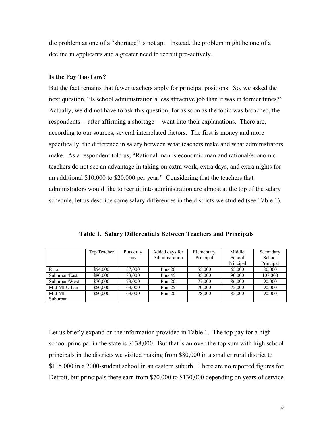the problem as one of a "shortage" is not apt. Instead, the problem might be one of a decline in applicants and a greater need to recruit pro-actively.

#### **Is the Pay Too Low?**

But the fact remains that fewer teachers apply for principal positions. So, we asked the next question, "Is school administration a less attractive job than it was in former times?" Actually, we did not have to ask this question, for as soon as the topic was broached, the respondents -- after affirming a shortage -- went into their explanations. There are, according to our sources, several interrelated factors. The first is money and more specifically, the difference in salary between what teachers make and what administrators make. As a respondent told us, "Rational man is economic man and rational/economic teachers do not see an advantage in taking on extra work, extra days, and extra nights for an additional \$10,000 to \$20,000 per year." Considering that the teachers that administrators would like to recruit into administration are almost at the top of the salary schedule, let us describe some salary differences in the districts we studied (see Table 1).

|               | Top Teacher | Plus duty | Added days for | Elementary | Middle    | Secondary |
|---------------|-------------|-----------|----------------|------------|-----------|-----------|
|               |             | pay       | Administration | Principal  | School    | School    |
|               |             |           |                |            | Principal | Principal |
| Rural         | \$54,000    | 57,000    | Plus $20$      | 55,000     | 65,000    | 80,000    |
| Suburban/East | \$80,000    | 83,000    | Plus 45        | 85,000     | 90,000    | 107,000   |
| Suburban/West | \$70,000    | 73,000    | Plus $20$      | 77,000     | 86,000    | 90,000    |
| Mid-MI Urban  | \$60,000    | 63,000    | Plus 25        | 70,000     | 75,000    | 90,000    |
| Mid-MI        | \$60,000    | 63,000    | Plus $20$      | 78,000     | 85,000    | 90,000    |
| Suburban      |             |           |                |            |           |           |

**Table 1. Salary Differentials Between Teachers and Principals** 

Let us briefly expand on the information provided in Table 1. The top pay for a high school principal in the state is \$138,000. But that is an over-the-top sum with high school principals in the districts we visited making from \$80,000 in a smaller rural district to \$115,000 in a 2000-student school in an eastern suburb. There are no reported figures for Detroit, but principals there earn from \$70,000 to \$130,000 depending on years of service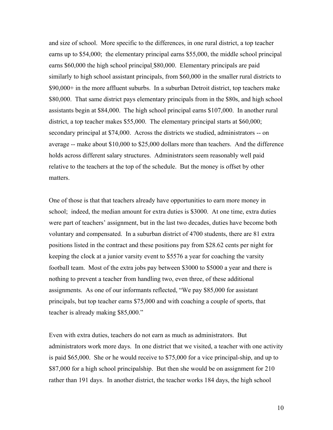and size of school. More specific to the differences, in one rural district, a top teacher earns up to \$54,000; the elementary principal earns \$55,000, the middle school principal earns \$60,000 the high school principal \$80,000. Elementary principals are paid similarly to high school assistant principals, from \$60,000 in the smaller rural districts to \$90,000+ in the more affluent suburbs. In a suburban Detroit district, top teachers make \$80,000. That same district pays elementary principals from in the \$80s, and high school assistants begin at \$84,000. The high school principal earns \$107,000. In another rural district, a top teacher makes \$55,000. The elementary principal starts at \$60,000; secondary principal at \$74,000. Across the districts we studied, administrators -- on average -- make about \$10,000 to \$25,000 dollars more than teachers. And the difference holds across different salary structures. Administrators seem reasonably well paid relative to the teachers at the top of the schedule. But the money is offset by other matters.

One of those is that that teachers already have opportunities to earn more money in school; indeed, the median amount for extra duties is \$3000. At one time, extra duties were part of teachers' assignment, but in the last two decades, duties have become both voluntary and compensated. In a suburban district of 4700 students, there are 81 extra positions listed in the contract and these positions pay from \$28.62 cents per night for keeping the clock at a junior varsity event to \$5576 a year for coaching the varsity football team. Most of the extra jobs pay between \$3000 to \$5000 a year and there is nothing to prevent a teacher from handling two, even three, of these additional assignments. As one of our informants reflected, "We pay \$85,000 for assistant principals, but top teacher earns \$75,000 and with coaching a couple of sports, that teacher is already making \$85,000."

Even with extra duties, teachers do not earn as much as administrators. But administrators work more days. In one district that we visited, a teacher with one activity is paid \$65,000. She or he would receive to \$75,000 for a vice principal-ship, and up to \$87,000 for a high school principalship. But then she would be on assignment for 210 rather than 191 days. In another district, the teacher works 184 days, the high school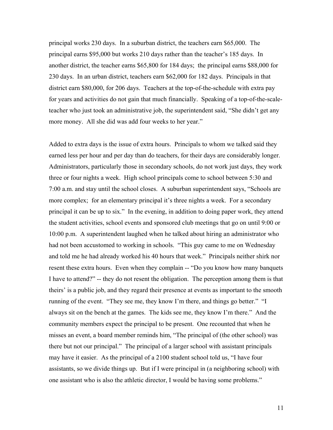principal works 230 days. In a suburban district, the teachers earn \$65,000. The principal earns \$95,000 but works 210 days rather than the teacher's 185 days. In another district, the teacher earns \$65,800 for 184 days; the principal earns \$88,000 for 230 days. In an urban district, teachers earn \$62,000 for 182 days. Principals in that district earn \$80,000, for 206 days. Teachers at the top-of-the-schedule with extra pay for years and activities do not gain that much financially. Speaking of a top-of-the-scaleteacher who just took an administrative job, the superintendent said, "She didn't get any more money. All she did was add four weeks to her year."

Added to extra days is the issue of extra hours. Principals to whom we talked said they earned less per hour and per day than do teachers, for their days are considerably longer. Administrators, particularly those in secondary schools, do not work just days, they work three or four nights a week. High school principals come to school between 5:30 and 7:00 a.m. and stay until the school closes. A suburban superintendent says, "Schools are more complex; for an elementary principal it's three nights a week. For a secondary principal it can be up to six." In the evening, in addition to doing paper work, they attend the student activities, school events and sponsored club meetings that go on until 9:00 or 10:00 p.m. A superintendent laughed when he talked about hiring an administrator who had not been accustomed to working in schools. "This guy came to me on Wednesday and told me he had already worked his 40 hours that week." Principals neither shirk nor resent these extra hours. Even when they complain -- "Do you know how many banquets" I have to attend?" -- they do not resent the obligation. The perception among them is that theirs' is a public job, and they regard their presence at events as important to the smooth running of the event. "They see me, they know I'm there, and things go better." "I always sit on the bench at the games. The kids see me, they know I'm there." And the community members expect the principal to be present. One recounted that when he misses an event, a board member reminds him, "The principal of (the other school) was there but not our principal." The principal of a larger school with assistant principals may have it easier. As the principal of a 2100 student school told us, "I have four assistants, so we divide things up. But if I were principal in (a neighboring school) with one assistant who is also the athletic director, I would be having some problems."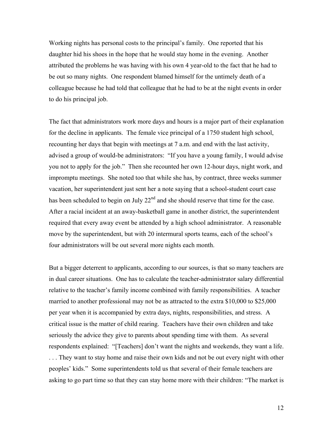Working nights has personal costs to the principal's family. One reported that his daughter hid his shoes in the hope that he would stay home in the evening. Another attributed the problems he was having with his own 4 year-old to the fact that he had to be out so many nights. One respondent blamed himself for the untimely death of a colleague because he had told that colleague that he had to be at the night events in order to do his principal job.

The fact that administrators work more days and hours is a major part of their explanation for the decline in applicants. The female vice principal of a 1750 student high school, recounting her days that begin with meetings at 7 a.m. and end with the last activity, advised a group of would-be administrators: "If you have a young family, I would advise you not to apply for the job." Then she recounted her own 12-hour days, night work, and impromptu meetings. She noted too that while she has, by contract, three weeks summer vacation, her superintendent just sent her a note saying that a school-student court case has been scheduled to begin on July 22<sup>nd</sup> and she should reserve that time for the case. After a racial incident at an away-basketball game in another district, the superintendent required that every away event be attended by a high school administrator. A reasonable move by the superintendent, but with 20 intermural sports teams, each of the school's four administrators will be out several more nights each month.

But a bigger deterrent to applicants, according to our sources, is that so many teachers are in dual career situations. One has to calculate the teacher-administrator salary differential relative to the teacher's family income combined with family responsibilities. A teacher married to another professional may not be as attracted to the extra \$10,000 to \$25,000 per year when it is accompanied by extra days, nights, responsibilities, and stress. A critical issue is the matter of child rearing. Teachers have their own children and take seriously the advice they give to parents about spending time with them. As several respondents explained: "[Teachers] don't want the nights and weekends, they want a life. . . . They want to stay home and raise their own kids and not be out every night with other peoples' kids." Some superintendents told us that several of their female teachers are asking to go part time so that they can stay home more with their children: "The market is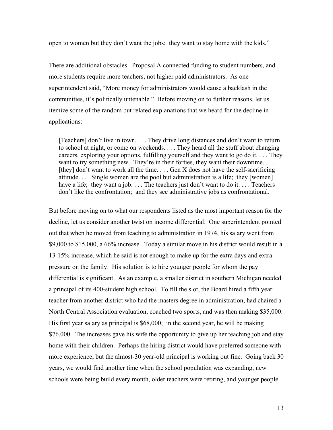open to women but they don't want the jobs; they want to stay home with the kids."

There are additional obstacles. Proposal A connected funding to student numbers, and more students require more teachers, not higher paid administrators. As one superintendent said, "More money for administrators would cause a backlash in the communities, it's politically untenable." Before moving on to further reasons, let us itemize some of the random but related explanations that we heard for the decline in applications:

[Teachers] don't live in town. . . . They drive long distances and don't want to return to school at night, or come on weekends. . . . They heard all the stuff about changing careers, exploring your options, fulfilling yourself and they want to go do it. . . . They want to try something new. They're in their forties, they want their downtime... [they] don't want to work all the time... Gen X does not have the self-sacrificing attitude. . . . Single women are the pool but administration is a life; they [women] have a life; they want a job. . . . The teachers just don't want to do it. . . . Teachers don't like the confrontation; and they see administrative jobs as confrontational.

But before moving on to what our respondents listed as the most important reason for the decline, let us consider another twist on income differential. One superintendent pointed out that when he moved from teaching to administration in 1974, his salary went from \$9,000 to \$15,000, a 66% increase. Today a similar move in his district would result in a 13-15% increase, which he said is not enough to make up for the extra days and extra pressure on the family. His solution is to hire younger people for whom the pay differential is significant. As an example, a smaller district in southern Michigan needed a principal of its 400-student high school. To fill the slot, the Board hired a fifth year teacher from another district who had the masters degree in administration, had chaired a North Central Association evaluation, coached two sports, and was then making \$35,000. His first year salary as principal is \$68,000; in the second year, he will be making \$76,000. The increases gave his wife the opportunity to give up her teaching job and stay home with their children. Perhaps the hiring district would have preferred someone with more experience, but the almost-30 year-old principal is working out fine. Going back 30 years, we would find another time when the school population was expanding, new schools were being build every month, older teachers were retiring, and younger people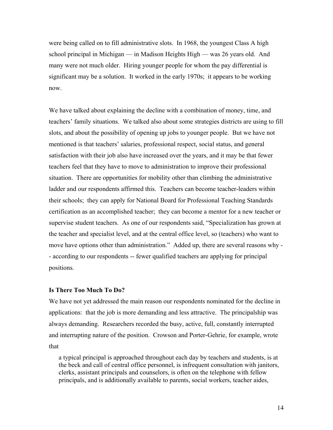were being called on to fill administrative slots. In 1968, the youngest Class A high school principal in Michigan — in Madison Heights High — was 26 years old. And many were not much older. Hiring younger people for whom the pay differential is significant may be a solution. It worked in the early 1970s; it appears to be working now.

We have talked about explaining the decline with a combination of money, time, and teachers' family situations. We talked also about some strategies districts are using to fill slots, and about the possibility of opening up jobs to younger people. But we have not mentioned is that teachers' salaries, professional respect, social status, and general satisfaction with their job also have increased over the years, and it may be that fewer teachers feel that they have to move to administration to improve their professional situation. There are opportunities for mobility other than climbing the administrative ladder and our respondents affirmed this. Teachers can become teacher-leaders within their schools; they can apply for National Board for Professional Teaching Standards certification as an accomplished teacher; they can become a mentor for a new teacher or supervise student teachers. As one of our respondents said, "Specialization has grown at the teacher and specialist level, and at the central office level, so (teachers) who want to move have options other than administration." Added up, there are several reasons why - - according to our respondents -- fewer qualified teachers are applying for principal positions.

## **Is There Too Much To Do?**

We have not yet addressed the main reason our respondents nominated for the decline in applications: that the job is more demanding and less attractive. The principalship was always demanding. Researchers recorded the busy, active, full, constantly interrupted and interrupting nature of the position. Crowson and Porter-Gehrie, for example, wrote that

a typical principal is approached throughout each day by teachers and students, is at the beck and call of central office personnel, is infrequent consultation with janitors, clerks, assistant principals and counselors, is often on the telephone with fellow principals, and is additionally available to parents, social workers, teacher aides,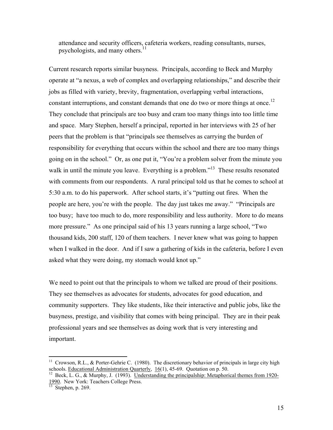attendance and security officers, cafeteria workers, reading consultants, nurses, psychologists, and many others.<sup>[11](#page-15-0)</sup>

Current research reports similar busyness. Principals, according to Beck and Murphy operate at "a nexus, a web of complex and overlapping relationships," and describe their jobs as filled with variety, brevity, fragmentation, overlapping verbal interactions, constant interruptions, and constant demands that one do two or more things at once.<sup>12</sup> They conclude that principals are too busy and cram too many things into too little time and space. Mary Stephen, herself a principal, reported in her interviews with 25 of her peers that the problem is that "principals see themselves as carrying the burden of responsibility for everything that occurs within the school and there are too many things going on in the school." Or, as one put it, "You're a problem solver from the minute you walk in until the minute you leave. Everything is a problem.<sup>13</sup> These results resonated with comments from our respondents. A rural principal told us that he comes to school at 5:30 a.m. to do his paperwork. After school starts, it's "putting out fires. When the people are here, you're with the people. The day just takes me away." "Principals are too busy; have too much to do, more responsibility and less authority. More to do means more pressure." As one principal said of his 13 years running a large school, "Two thousand kids, 200 staff, 120 of them teachers. I never knew what was going to happen when I walked in the door. And if I saw a gathering of kids in the cafeteria, before I even asked what they were doing, my stomach would knot up."

We need to point out that the principals to whom we talked are proud of their positions. They see themselves as advocates for students, advocates for good education, and community supporters. They like students, like their interactive and public jobs, like the busyness, prestige, and visibility that comes with being principal. They are in their peak professional years and see themselves as doing work that is very interesting and important.

<span id="page-15-0"></span><sup>&</sup>lt;sup>11</sup> Crowson, R.L., & Porter-Gehrie C. (1980). The discretionary behavior of principals in large city high schools. <u>Educational Administration Quarterly, 16</u>(1), 45-69. Quotation on p. 50.<br><sup>12</sup> Beck, L. G., & Murphy, J. (1993). <u>Understanding the principalship: Metaphorical themes from 1920-</u>

<span id="page-15-1"></span><sup>1990.</sup> New York: Teachers College Press. 13 Stephen, p. 269.

<span id="page-15-2"></span>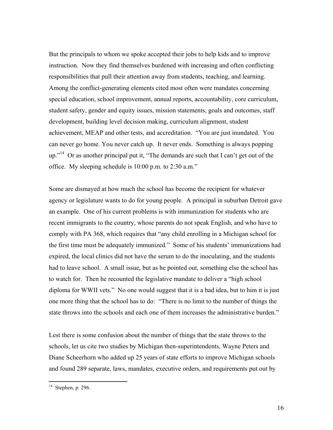But the principals to whom we spoke accepted their jobs to help kids and to improve instruction. Now they find themselves burdened with increasing and often conflicting responsibilities that pull their attention away from students, teaching, and learning. Among the conflict-generating elements cited most often were mandates concerning special education, school improvement, annual reports, accountability, core curriculum, student safety, gender and equity issues, mission statements, goals and outcomes, staff development, building level decision making, curriculum alignment, student achievement, MEAP and other tests, and accreditation. "You are just inundated. You can never go home. You never catch up. It never ends. Something is always popping  $up.^{14}$  Or as another principal put it, "The demands are such that I can't get out of the office. My sleeping schedule is 10:00 p.m. to 2:30 a.m."

Some are dismayed at how much the school has become the recipient for whatever agency or legislature wants to do for young people. A principal in suburban Detroit gave an example. One of his current problems is with immunization for students who are recent immigrants to the country, whose parents do not speak English, and who have to comply with PA 368, which requires that "any child enrolling in a Michigan school for the first time must be adequately immunized." Some of his students' immunizations had expired, the local clinics did not have the serum to do the inoculating, and the students had to leave school. A small issue, but as he pointed out, something else the school has to watch for. Then he recounted the legislative mandate to deliver a "high school diploma for WWII vets." No one would suggest that it is a bad idea, but to him it is just one more thing that the school has to do: "There is no limit to the number of things the state throws into the schools and each one of them increases the administrative burden."

Lest there is some confusion about the number of things that the state throws to the schools, let us cite two studies by Michigan then-superintendents, Wayne Peters and Diane Scheerhorn who added up 25 years of state efforts to improve Michigan schools and found 289 separate, laws, mandates, executive orders, and requirements put out by

<span id="page-16-0"></span> $14$  Stephen, p. 296.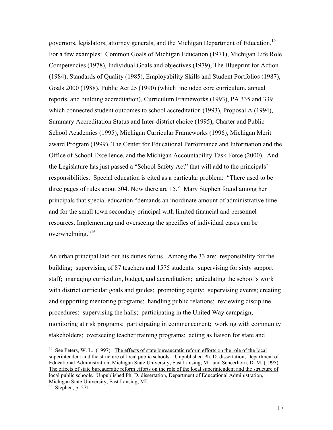governors, legislators, attorney generals, and the Michigan Department of Education.<sup>15</sup> For a few examples: Common Goals of Michigan Education (1971), Michigan Life Role Competencies (1978), Individual Goals and objectives (1979), The Blueprint for Action (1984), Standards of Quality (1985), Employability Skills and Student Portfolios (1987), Goals 2000 (1988), Public Act 25 (1990) (which included core curriculum, annual reports, and building accreditation), Curriculum Frameworks (1993), PA 335 and 339 which connected student outcomes to school accreditation (1993), Proposal A (1994), Summary Accreditation Status and Inter-district choice (1995), Charter and Public School Academies (1995), Michigan Curricular Frameworks (1996), Michigan Merit award Program (1999), The Center for Educational Performance and Information and the Office of School Excellence, and the Michigan Accountability Task Force (2000). And the Legislature has just passed a "School Safety Act" that will add to the principals' responsibilities. Special education is cited as a particular problem: "There used to be three pages of rules about 504. Now there are 15." Mary Stephen found among her principals that special education "demands an inordinate amount of administrative time and for the small town secondary principal with limited financial and personnel resources. Implementing and overseeing the specifics of individual cases can be overwhelming."<sup>16</sup>

An urban principal laid out his duties for us. Among the 33 are: responsibility for the building; supervising of 87 teachers and 1575 students; supervising for sixty support staff; managing curriculum, budget, and accreditation; articulating the school's work with district curricular goals and guides; promoting equity; supervising events; creating and supporting mentoring programs; handling public relations; reviewing discipline procedures; supervising the halls; participating in the United Way campaign; monitoring at risk programs; participating in commencement; working with community stakeholders; overseeing teacher training programs; acting as liaison for state and

<span id="page-17-0"></span><sup>&</sup>lt;sup>15</sup> See Peters, W. L. (1997). The effects of state bureaucratic reform efforts on the role of the local superintendent and the structure of local public schools**.** Unpublished Ph. D. dissertation, Department of Educational Administration, Michigan State University, East Lansing, MI and Scheerhorn, D. M. (1995). The effects of state bureaucratic reform efforts on the role of the local superintendent and the structure of local public schools**.** Unpublished Ph. D. dissertation, Department of Educational Administration, Michigan State University, East Lansing, MI.

<span id="page-17-1"></span> $16$  Stephen, p. 271.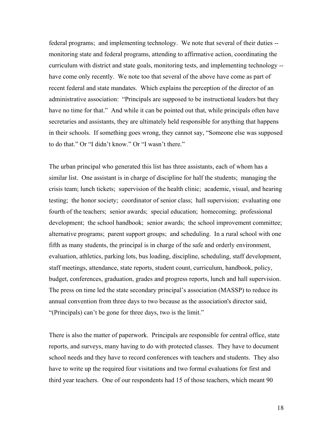federal programs; and implementing technology. We note that several of their duties - monitoring state and federal programs, attending to affirmative action, coordinating the curriculum with district and state goals, monitoring tests, and implementing technology - have come only recently. We note too that several of the above have come as part of recent federal and state mandates. Which explains the perception of the director of an administrative association: "Principals are supposed to be instructional leaders but they have no time for that." And while it can be pointed out that, while principals often have secretaries and assistants, they are ultimately held responsible for anything that happens in their schools. If something goes wrong, they cannot say, "Someone else was supposed to do that." Or "I didn't know." Or "I wasn't there."

The urban principal who generated this list has three assistants, each of whom has a similar list. One assistant is in charge of discipline for half the students; managing the crisis team; lunch tickets; supervision of the health clinic; academic, visual, and hearing testing; the honor society; coordinator of senior class; hall supervision; evaluating one fourth of the teachers; senior awards; special education; homecoming; professional development; the school handbook; senior awards; the school improvement committee; alternative programs; parent support groups; and scheduling. In a rural school with one fifth as many students, the principal is in charge of the safe and orderly environment, evaluation, athletics, parking lots, bus loading, discipline, scheduling, staff development, staff meetings, attendance, state reports, student count, curriculum, handbook, policy, budget, conferences, graduation, grades and progress reports, lunch and hall supervision. The press on time led the state secondary principal's association (MASSP) to reduce its annual convention from three days to two because as the association's director said, "(Principals) can't be gone for three days, two is the limit."

There is also the matter of paperwork. Principals are responsible for central office, state reports, and surveys, many having to do with protected classes. They have to document school needs and they have to record conferences with teachers and students. They also have to write up the required four visitations and two formal evaluations for first and third year teachers. One of our respondents had 15 of those teachers, which meant 90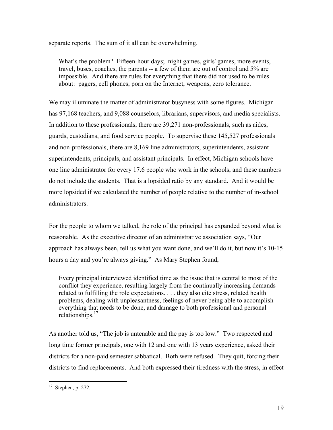separate reports. The sum of it all can be overwhelming.

What's the problem? Fifteen-hour days; night games, girls' games, more events, travel, buses, coaches, the parents -- a few of them are out of control and 5% are impossible. And there are rules for everything that there did not used to be rules about: pagers, cell phones, porn on the Internet, weapons, zero tolerance.

We may illuminate the matter of administrator busyness with some figures. Michigan has 97,168 teachers, and 9,088 counselors, librarians, supervisors, and media specialists. In addition to these professionals, there are 39,271 non-professionals, such as aides, guards, custodians, and food service people. To supervise these 145,527 professionals and non-professionals, there are 8,169 line administrators, superintendents, assistant superintendents, principals, and assistant principals. In effect, Michigan schools have one line administrator for every 17.6 people who work in the schools, and these numbers do not include the students. That is a lopsided ratio by any standard. And it would be more lopsided if we calculated the number of people relative to the number of in-school administrators.

For the people to whom we talked, the role of the principal has expanded beyond what is reasonable. As the executive director of an administrative association says, "Our approach has always been, tell us what you want done, and we'll do it, but now it's 10-15 hours a day and you're always giving." As Mary Stephen found,

Every principal interviewed identified time as the issue that is central to most of the conflict they experience, resulting largely from the continually increasing demands related to fulfilling the role expectations. . . . they also cite stress, related health problems, dealing with unpleasantness, feelings of never being able to accomplish everything that needs to be done, and damage to both professional and personal relationships. $17$ 

As another told us, "The job is untenable and the pay is too low." Two respected and long time former principals, one with 12 and one with 13 years experience, asked their districts for a non-paid semester sabbatical. Both were refused. They quit, forcing their districts to find replacements. And both expressed their tiredness with the stress, in effect

<span id="page-19-0"></span> $17$  Stephen, p. 272.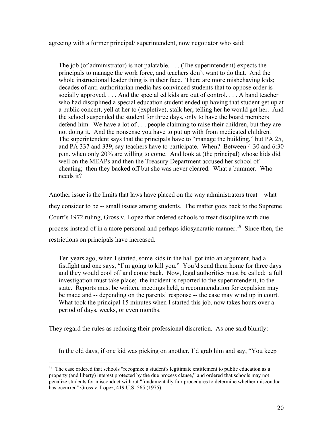agreeing with a former principal/ superintendent, now negotiator who said:

The job (of administrator) is not palatable. . . . (The superintendent) expects the principals to manage the work force, and teachers don't want to do that. And the whole instructional leader thing is in their face. There are more misbehaving kids; decades of anti-authoritarian media has convinced students that to oppose order is socially approved. . . . And the special ed kids are out of control. . . . A band teacher who had disciplined a special education student ended up having that student get up at a public concert, yell at her to (expletive), stalk her, telling her he would get her. And the school suspended the student for three days, only to have the board members defend him. We have a lot of . . . people claiming to raise their children, but they are not doing it. And the nonsense you have to put up with from medicated children. The superintendent says that the principals have to "manage the building," but PA 25, and PA 337 and 339, say teachers have to participate. When? Between 4:30 and 6:30 p.m. when only 20% are willing to come. And look at (the principal) whose kids did well on the MEAPs and then the Treasury Department accused her school of cheating; then they backed off but she was never cleared. What a bummer. Who needs it?

Another issue is the limits that laws have placed on the way administrators treat – what they consider to be -- small issues among students. The matter goes back to the Supreme Court's 1972 ruling, Gross v. Lopez that ordered schools to treat discipline with due process instead of in a more personal and perhaps idiosyncratic manner.<sup>18</sup> Since then, the restrictions on principals have increased.

Ten years ago, when I started, some kids in the hall got into an argument, had a fistfight and one says, "I'm going to kill you." You'd send them home for three days and they would cool off and come back. Now, legal authorities must be called; a full investigation must take place; the incident is reported to the superintendent, to the state. Reports must be written, meetings held, a recommendation for expulsion may be made and -- depending on the parents' response -- the case may wind up in court. What took the principal 15 minutes when I started this job, now takes hours over a period of days, weeks, or even months.

They regard the rules as reducing their professional discretion. As one said bluntly:

1

In the old days, if one kid was picking on another, I'd grab him and say, "You keep

<span id="page-20-0"></span> $18$  The case ordered that schools "recognize a student's legitimate entitlement to public education as a property (and liberty) interest protected by the due process clause," and ordered that schools may not penalize students for misconduct without "fundamentally fair procedures to determine whether misconduct has occurred" Gross v. Lopez, 419 U.S. 565 (1975).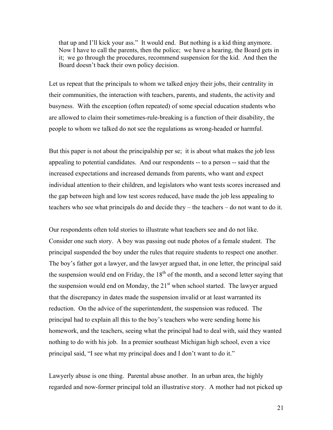that up and I'll kick your ass." It would end. But nothing is a kid thing anymore. Now I have to call the parents, then the police; we have a hearing, the Board gets in it; we go through the procedures, recommend suspension for the kid. And then the Board doesn't back their own policy decision.

Let us repeat that the principals to whom we talked enjoy their jobs, their centrality in their communities, the interaction with teachers, parents, and students, the activity and busyness. With the exception (often repeated) of some special education students who are allowed to claim their sometimes-rule-breaking is a function of their disability, the people to whom we talked do not see the regulations as wrong-headed or harmful.

But this paper is not about the principalship per se; it is about what makes the job less appealing to potential candidates. And our respondents -- to a person -- said that the increased expectations and increased demands from parents, who want and expect individual attention to their children, and legislators who want tests scores increased and the gap between high and low test scores reduced, have made the job less appealing to teachers who see what principals do and decide they – the teachers – do not want to do it.

Our respondents often told stories to illustrate what teachers see and do not like. Consider one such story. A boy was passing out nude photos of a female student. The principal suspended the boy under the rules that require students to respect one another. The boy's father got a lawyer, and the lawyer argued that, in one letter, the principal said the suspension would end on Friday, the  $18<sup>th</sup>$  of the month, and a second letter saying that the suspension would end on Monday, the  $21<sup>st</sup>$  when school started. The lawyer argued that the discrepancy in dates made the suspension invalid or at least warranted its reduction. On the advice of the superintendent, the suspension was reduced. The principal had to explain all this to the boy's teachers who were sending home his homework, and the teachers, seeing what the principal had to deal with, said they wanted nothing to do with his job. In a premier southeast Michigan high school, even a vice principal said, "I see what my principal does and I don't want to do it."

Lawyerly abuse is one thing. Parental abuse another. In an urban area, the highly regarded and now-former principal told an illustrative story. A mother had not picked up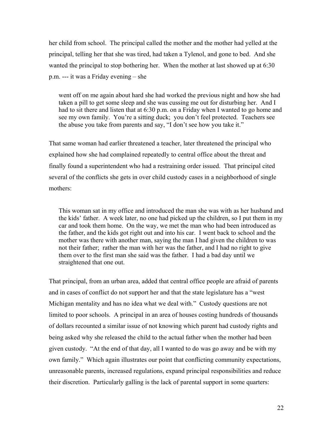her child from school. The principal called the mother and the mother had yelled at the principal, telling her that she was tired, had taken a Tylenol, and gone to bed. And she wanted the principal to stop bothering her. When the mother at last showed up at 6:30 p.m. --- it was a Friday evening – she

went off on me again about hard she had worked the previous night and how she had taken a pill to get some sleep and she was cussing me out for disturbing her. And I had to sit there and listen that at 6:30 p.m. on a Friday when I wanted to go home and see my own family. You're a sitting duck; you don't feel protected. Teachers see the abuse you take from parents and say, "I don't see how you take it."

That same woman had earlier threatened a teacher, later threatened the principal who explained how she had complained repeatedly to central office about the threat and finally found a superintendent who had a restraining order issued. That principal cited several of the conflicts she gets in over child custody cases in a neighborhood of single mothers:

This woman sat in my office and introduced the man she was with as her husband and the kids' father. A week later, no one had picked up the children, so I put them in my car and took them home. On the way, we met the man who had been introduced as the father, and the kids got right out and into his car. I went back to school and the mother was there with another man, saying the man I had given the children to was not their father; rather the man with her was the father, and I had no right to give them over to the first man she said was the father. I had a bad day until we straightened that one out.

That principal, from an urban area, added that central office people are afraid of parents and in cases of conflict do not support her and that the state legislature has a "west Michigan mentality and has no idea what we deal with." Custody questions are not limited to poor schools. A principal in an area of houses costing hundreds of thousands of dollars recounted a similar issue of not knowing which parent had custody rights and being asked why she released the child to the actual father when the mother had been given custody. "At the end of that day, all I wanted to do was go away and be with my own family." Which again illustrates our point that conflicting community expectations, unreasonable parents, increased regulations, expand principal responsibilities and reduce their discretion. Particularly galling is the lack of parental support in some quarters: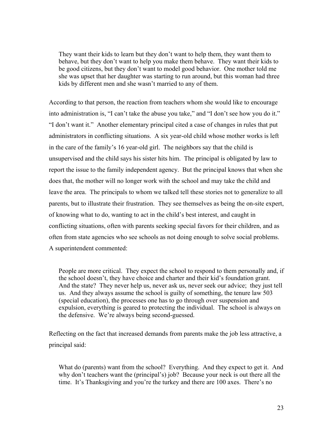They want their kids to learn but they don't want to help them, they want them to behave, but they don't want to help you make them behave. They want their kids to be good citizens, but they don't want to model good behavior. One mother told me she was upset that her daughter was starting to run around, but this woman had three kids by different men and she wasn't married to any of them.

According to that person, the reaction from teachers whom she would like to encourage into administration is, "I can't take the abuse you take," and "I don't see how you do it." "I don't want it." Another elementary principal cited a case of changes in rules that put administrators in conflicting situations. A six year-old child whose mother works is left in the care of the family's 16 year-old girl. The neighbors say that the child is unsupervised and the child says his sister hits him. The principal is obligated by law to report the issue to the family independent agency. But the principal knows that when she does that, the mother will no longer work with the school and may take the child and leave the area. The principals to whom we talked tell these stories not to generalize to all parents, but to illustrate their frustration. They see themselves as being the on-site expert, of knowing what to do, wanting to act in the child's best interest, and caught in conflicting situations, often with parents seeking special favors for their children, and as often from state agencies who see schools as not doing enough to solve social problems. A superintendent commented:

People are more critical. They expect the school to respond to them personally and, if the school doesn't, they have choice and charter and their kid's foundation grant. And the state? They never help us, never ask us, never seek our advice; they just tell us. And they always assume the school is guilty of something, the tenure law 503 (special education), the processes one has to go through over suspension and expulsion, everything is geared to protecting the individual. The school is always on the defensive. We're always being second-guessed.

Reflecting on the fact that increased demands from parents make the job less attractive, a principal said:

What do (parents) want from the school? Everything. And they expect to get it. And why don't teachers want the (principal's) job? Because your neck is out there all the time. It's Thanksgiving and you're the turkey and there are 100 axes. There's no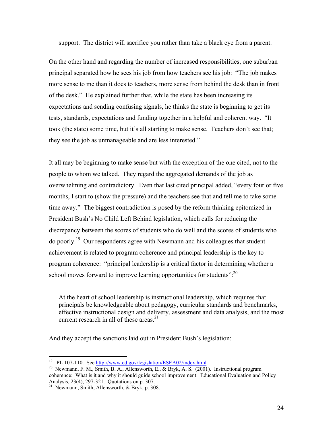support. The district will sacrifice you rather than take a black eye from a parent.

On the other hand and regarding the number of increased responsibilities, one suburban principal separated how he sees his job from how teachers see his job: "The job makes more sense to me than it does to teachers, more sense from behind the desk than in front of the desk." He explained further that, while the state has been increasing its expectations and sending confusing signals, he thinks the state is beginning to get its tests, standards, expectations and funding together in a helpful and coherent way. "It took (the state) some time, but it's all starting to make sense. Teachers don't see that; they see the job as unmanageable and are less interested."

It all may be beginning to make sense but with the exception of the one cited, not to the people to whom we talked. They regard the aggregated demands of the job as overwhelming and contradictory. Even that last cited principal added, "every four or five months, I start to (show the pressure) and the teachers see that and tell me to take some time away." The biggest contradiction is posed by the reform thinking epitomized in President Bush's No Child Left Behind legislation, which calls for reducing the discrepancy between the scores of students who do well and the scores of students who do poorly.<sup>19</sup> Our respondents agree with Newmann and his colleagues that student achievement is related to program coherence and principal leadership is the key to program coherence: "principal leadership is a critical factor in determining whether a school moves forward to improve learning opportunities for students":<sup>20</sup>

At the heart of school leadership is instructional leadership, which requires that principals be knowledgeable about pedagogy, curricular standards and benchmarks, effective instructional design and delivery, assessment and data analysis, and the most current research in all of these areas.<sup>[21](#page-24-2)</sup>

And they accept the sanctions laid out in President Bush's legislation:

<span id="page-24-0"></span><sup>&</sup>lt;sup>19</sup> PL 107-110. See http://www.ed.gov/legislation/ESEA02/index.html.

<span id="page-24-1"></span><sup>&</sup>lt;sup>20</sup> Newmann, F. M., [Smith, B. A., Allensworth, E., & Bryk, A. S. \(2001](http://www.ed.gov/legislation/ESEA02/index.html)). Instructional program coherence: What is it and why it should guide school improvement. Educational Evaluation and Policy Analysis,  $23(4)$ , 297-321. Quotations on p. 307.<br><sup>21</sup> Newmann, Smith, Allensworth, & Bryk, p. 308.

<span id="page-24-2"></span>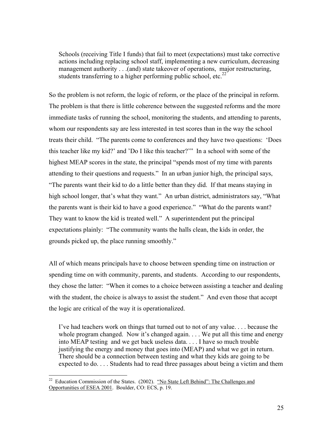Schools (receiving Title I funds) that fail to meet (expectations) must take corrective actions including replacing school staff, implementing a new curriculum, decreasing management authority . . .(and) state takeover of operations, major restructuring, students transferring to a higher performing public school, etc.<sup>22</sup>

So the problem is not reform, the logic of reform, or the place of the principal in reform. The problem is that there is little coherence between the suggested reforms and the more immediate tasks of running the school, monitoring the students, and attending to parents, whom our respondents say are less interested in test scores than in the way the school treats their child. "The parents come to conferences and they have two questions: 'Does this teacher like my kid?' and 'Do I like this teacher?'" In a school with some of the highest MEAP scores in the state, the principal "spends most of my time with parents attending to their questions and requests." In an urban junior high, the principal says, "The parents want their kid to do a little better than they did. If that means staying in high school longer, that's what they want." An urban district, administrators say, "What the parents want is their kid to have a good experience." "What do the parents want? They want to know the kid is treated well." A superintendent put the principal expectations plainly: "The community wants the halls clean, the kids in order, the grounds picked up, the place running smoothly."

All of which means principals have to choose between spending time on instruction or spending time on with community, parents, and students. According to our respondents, they chose the latter: "When it comes to a choice between assisting a teacher and dealing with the student, the choice is always to assist the student." And even those that accept the logic are critical of the way it is operationalized.

I've had teachers work on things that turned out to not of any value. . . . because the whole program changed. Now it's changed again. . . We put all this time and energy into MEAP testing and we get back useless data. . . . I have so much trouble justifying the energy and money that goes into (MEAP) and what we get in return. There should be a connection between testing and what they kids are going to be expected to do. . . . Students had to read three passages about being a victim and them

<span id="page-25-0"></span><sup>&</sup>lt;sup>22</sup> Education Commission of the States. (2002). "No State Left Behind": The Challenges and Opportunities of ESEA 2001. Boulder, CO: ECS, p. 19.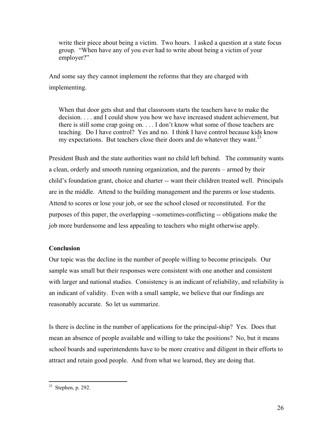write their piece about being a victim. Two hours. I asked a question at a state focus group. "When have any of you ever had to write about being a victim of your employer?"

And some say they cannot implement the reforms that they are charged with implementing.

When that door gets shut and that classroom starts the teachers have to make the decision. . . . and I could show you how we have increased student achievement, but there is still some crap going on. . . . I don't know what some of those teachers are teaching. Do I have control? Yes and no. I think I have control because kids know my expectations. But teachers close their doors and do whatever they want.<sup>[23](#page-26-0)</sup>

President Bush and the state authorities want no child left behind. The community wants a clean, orderly and smooth running organization, and the parents – armed by their child's foundation grant, choice and charter -- want their children treated well. Principals are in the middle. Attend to the building management and the parents or lose students. Attend to scores or lose your job, or see the school closed or reconstituted. For the purposes of this paper, the overlapping --sometimes-conflicting -- obligations make the job more burdensome and less appealing to teachers who might otherwise apply.

## **Conclusion**

Our topic was the decline in the number of people willing to become principals. Our sample was small but their responses were consistent with one another and consistent with larger and national studies. Consistency is an indicant of reliability, and reliability is an indicant of validity. Even with a small sample, we believe that our findings are reasonably accurate. So let us summarize.

Is there is decline in the number of applications for the principal-ship? Yes. Does that mean an absence of people available and willing to take the positions? No, but it means school boards and superintendents have to be more creative and diligent in their efforts to attract and retain good people. And from what we learned, they are doing that.

<span id="page-26-0"></span> $23$  Stephen, p. 292.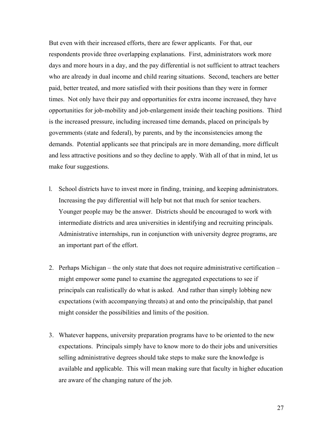But even with their increased efforts, there are fewer applicants. For that, our respondents provide three overlapping explanations. First, administrators work more days and more hours in a day, and the pay differential is not sufficient to attract teachers who are already in dual income and child rearing situations. Second, teachers are better paid, better treated, and more satisfied with their positions than they were in former times. Not only have their pay and opportunities for extra income increased, they have opportunities for job-mobility and job-enlargement inside their teaching positions. Third is the increased pressure, including increased time demands, placed on principals by governments (state and federal), by parents, and by the inconsistencies among the demands. Potential applicants see that principals are in more demanding, more difficult and less attractive positions and so they decline to apply. With all of that in mind, let us make four suggestions.

- l. School districts have to invest more in finding, training, and keeping administrators. Increasing the pay differential will help but not that much for senior teachers. Younger people may be the answer. Districts should be encouraged to work with intermediate districts and area universities in identifying and recruiting principals. Administrative internships, run in conjunction with university degree programs, are an important part of the effort.
- 2. Perhaps Michigan the only state that does not require administrative certification might empower some panel to examine the aggregated expectations to see if principals can realistically do what is asked. And rather than simply lobbing new expectations (with accompanying threats) at and onto the principalship, that panel might consider the possibilities and limits of the position.
- 3. Whatever happens, university preparation programs have to be oriented to the new expectations. Principals simply have to know more to do their jobs and universities selling administrative degrees should take steps to make sure the knowledge is available and applicable. This will mean making sure that faculty in higher education are aware of the changing nature of the job.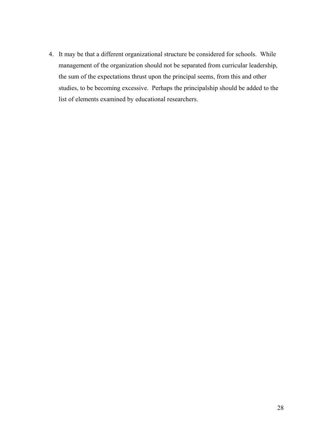4. It may be that a different organizational structure be considered for schools. While management of the organization should not be separated from curricular leadership, the sum of the expectations thrust upon the principal seems, from this and other studies, to be becoming excessive. Perhaps the principalship should be added to the list of elements examined by educational researchers.